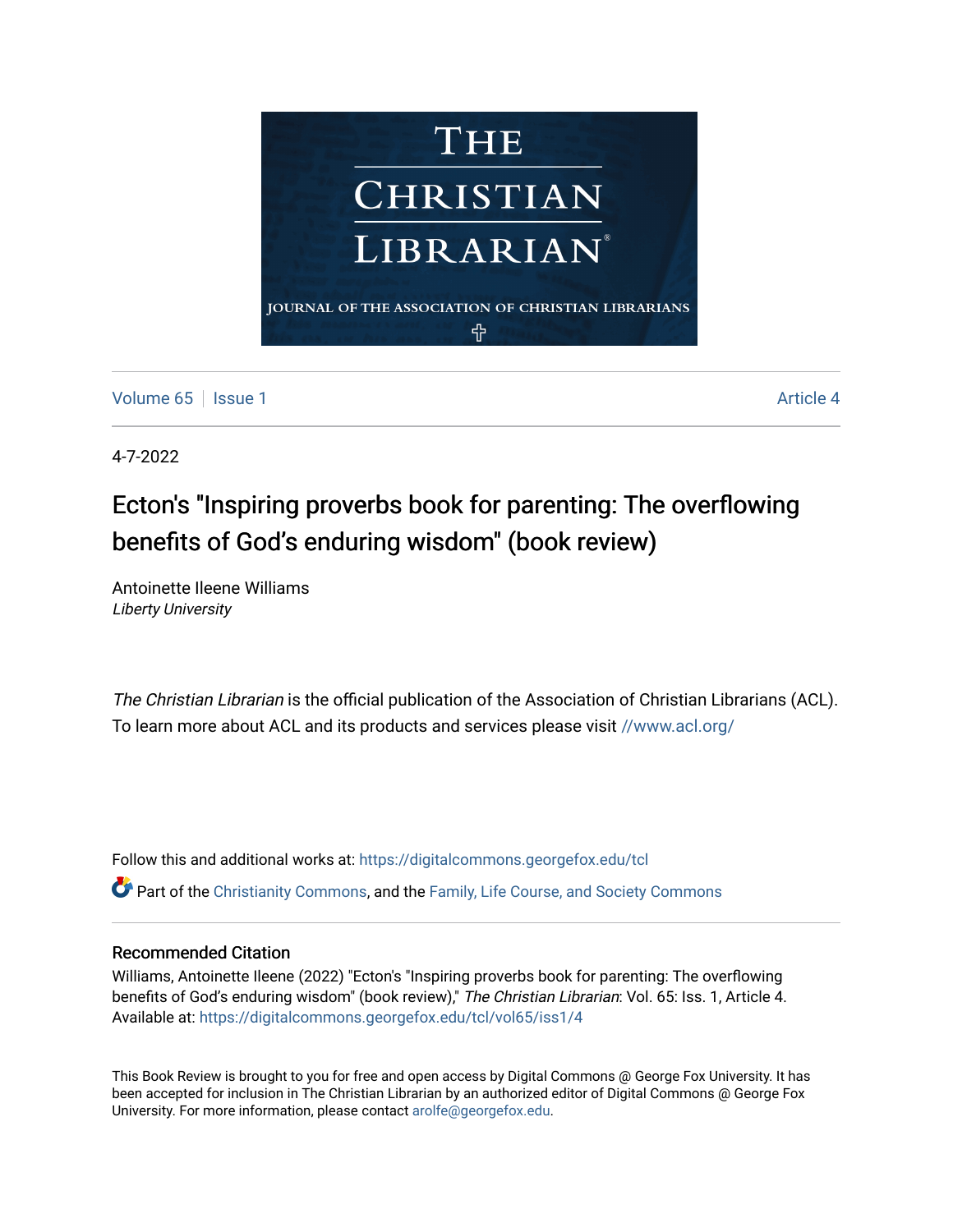

[Volume 65](https://digitalcommons.georgefox.edu/tcl/vol65) | [Issue 1](https://digitalcommons.georgefox.edu/tcl/vol65/iss1) Article 4

4-7-2022

## Ecton's "Inspiring proverbs book for parenting: The overflowing benefits of God's enduring wisdom" (book review)

Antoinette Ileene Williams Liberty University

The Christian Librarian is the official publication of the Association of Christian Librarians (ACL). To learn more about ACL and its products and services please visit [//www.acl.org/](/www.acl.org/)

Follow this and additional works at: [https://digitalcommons.georgefox.edu/tcl](https://digitalcommons.georgefox.edu/tcl?utm_source=digitalcommons.georgefox.edu%2Ftcl%2Fvol65%2Fiss1%2F4&utm_medium=PDF&utm_campaign=PDFCoverPages) 

Part of the [Christianity Commons,](http://network.bepress.com/hgg/discipline/1181?utm_source=digitalcommons.georgefox.edu%2Ftcl%2Fvol65%2Fiss1%2F4&utm_medium=PDF&utm_campaign=PDFCoverPages) and the [Family, Life Course, and Society Commons](http://network.bepress.com/hgg/discipline/419?utm_source=digitalcommons.georgefox.edu%2Ftcl%2Fvol65%2Fiss1%2F4&utm_medium=PDF&utm_campaign=PDFCoverPages)

## Recommended Citation

Williams, Antoinette Ileene (2022) "Ecton's "Inspiring proverbs book for parenting: The overflowing benefits of God's enduring wisdom" (book review)," The Christian Librarian: Vol. 65: Iss. 1, Article 4. Available at: [https://digitalcommons.georgefox.edu/tcl/vol65/iss1/4](https://digitalcommons.georgefox.edu/tcl/vol65/iss1/4?utm_source=digitalcommons.georgefox.edu%2Ftcl%2Fvol65%2Fiss1%2F4&utm_medium=PDF&utm_campaign=PDFCoverPages) 

This Book Review is brought to you for free and open access by Digital Commons @ George Fox University. It has been accepted for inclusion in The Christian Librarian by an authorized editor of Digital Commons @ George Fox University. For more information, please contact [arolfe@georgefox.edu.](mailto:arolfe@georgefox.edu)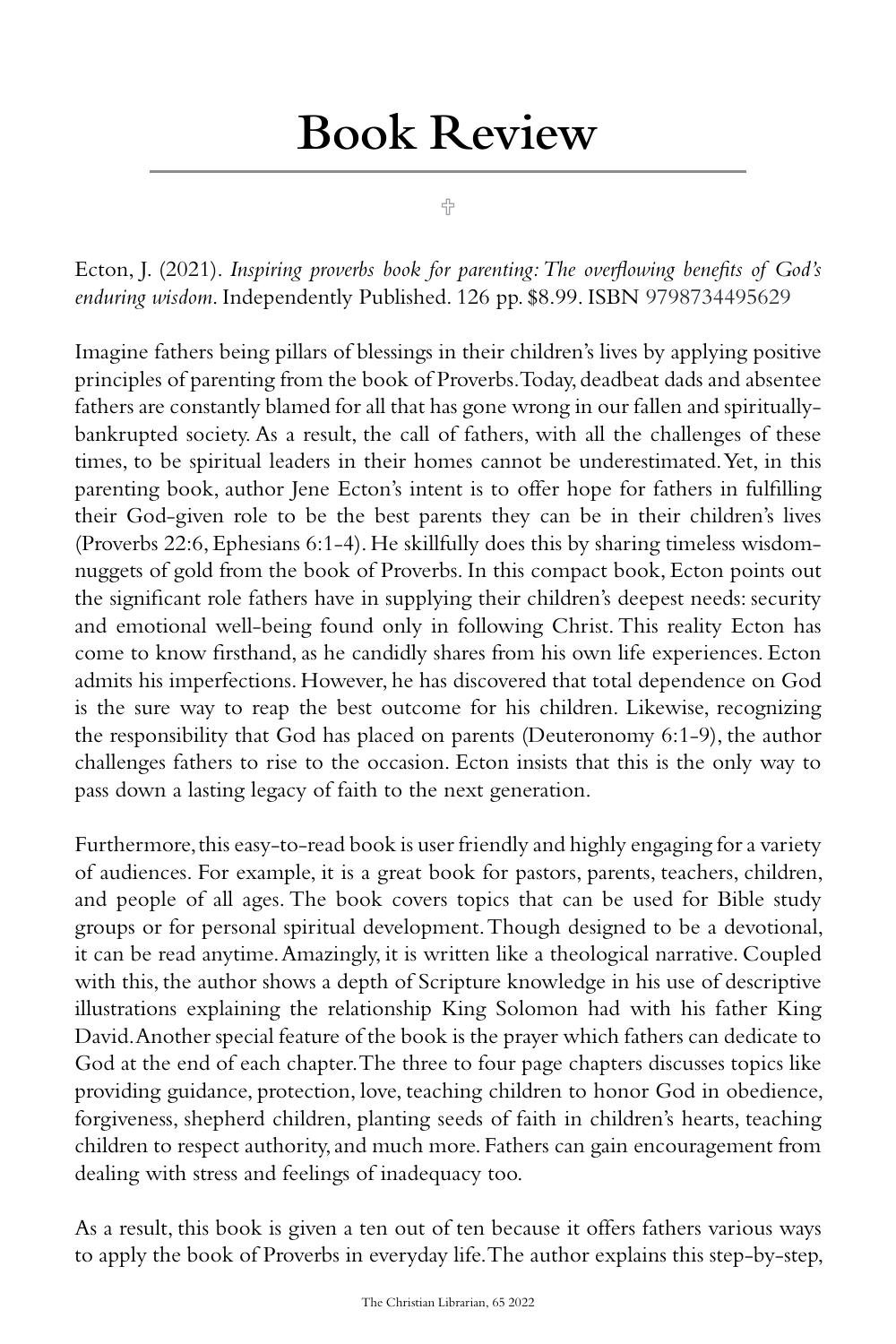## Book Review

슈

Ecton, J. (2021). *Inspiring proverbs book for parenting: The overflowing benefits of God's enduring wisdom*. Independently Published. 126 pp. \$8.99. ISBN 9798734495629

Imagine fathers being pillars of blessings in their children's lives by applying positive principles of parenting from the book of Proverbs. Today, deadbeat dads and absentee fathers are constantly blamed for all that has gone wrong in our fallen and spirituallybankrupted society. As a result, the call of fathers, with all the challenges of these times, to be spiritual leaders in their homes cannot be underestimated. Yet, in this parenting book, author Jene Ecton's intent is to offer hope for fathers in fulfilling their God-given role to be the best parents they can be in their children's lives (Proverbs 22:6, Ephesians 6:1-4). He skillfully does this by sharing timeless wisdomnuggets of gold from the book of Proverbs. In this compact book, Ecton points out the significant role fathers have in supplying their children's deepest needs: security and emotional well-being found only in following Christ. This reality Ecton has come to know firsthand, as he candidly shares from his own life experiences. Ecton admits his imperfections. However, he has discovered that total dependence on God is the sure way to reap the best outcome for his children. Likewise, recognizing the responsibility that God has placed on parents (Deuteronomy 6:1-9), the author challenges fathers to rise to the occasion. Ecton insists that this is the only way to pass down a lasting legacy of faith to the next generation.

Furthermore, this easy-to-read book is user friendly and highly engaging for a variety of audiences. For example, it is a great book for pastors, parents, teachers, children, and people of all ages. The book covers topics that can be used for Bible study groups or for personal spiritual development. Though designed to be a devotional, it can be read anytime. Amazingly, it is written like a theological narrative. Coupled with this, the author shows a depth of Scripture knowledge in his use of descriptive illustrations explaining the relationship King Solomon had with his father King David. Another special feature of the book is the prayer which fathers can dedicate to God at the end of each chapter. The three to four page chapters discusses topics like providing guidance, protection, love, teaching children to honor God in obedience, forgiveness, shepherd children, planting seeds of faith in children's hearts, teaching children to respect authority, and much more. Fathers can gain encouragement from dealing with stress and feelings of inadequacy too.

As a result, this book is given a ten out of ten because it offers fathers various ways to apply the book of Proverbs in everyday life. The author explains this step-by-step,